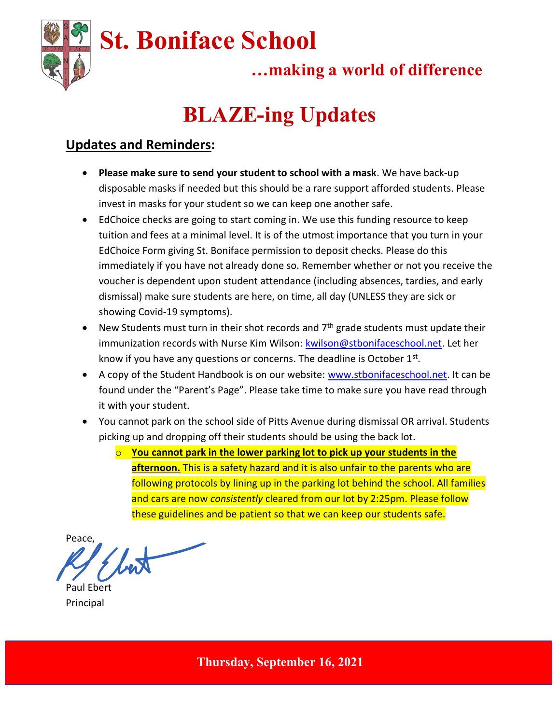

## …making a world of difference

# BLAZE-ing Updates

### Updates and Reminders:

- Please make sure to send your student to school with a mask. We have back-up disposable masks if needed but this should be a rare support afforded students. Please invest in masks for your student so we can keep one another safe.
- EdChoice checks are going to start coming in. We use this funding resource to keep tuition and fees at a minimal level. It is of the utmost importance that you turn in your EdChoice Form giving St. Boniface permission to deposit checks. Please do this immediately if you have not already done so. Remember whether or not you receive the voucher is dependent upon student attendance (including absences, tardies, and early dismissal) make sure students are here, on time, all day (UNLESS they are sick or showing Covid-19 symptoms).
- $\bullet$  New Students must turn in their shot records and  $7<sup>th</sup>$  grade students must update their immunization records with Nurse Kim Wilson: kwilson@stbonifaceschool.net. Let her know if you have any questions or concerns. The deadline is October  $1<sup>st</sup>$ .
- A copy of the Student Handbook is on our website: www.stbonifaceschool.net. It can be found under the "Parent's Page". Please take time to make sure you have read through it with your student.
- You cannot park on the school side of Pitts Avenue during dismissal OR arrival. Students picking up and dropping off their students should be using the back lot.
	- $\circ$  You cannot park in the lower parking lot to pick up your students in the afternoon. This is a safety hazard and it is also unfair to the parents who are following protocols by lining up in the parking lot behind the school. All families and cars are now consistently cleared from our lot by 2:25pm. Please follow these guidelines and be patient so that we can keep our students safe.

Peace,

Paul Ebert Principal